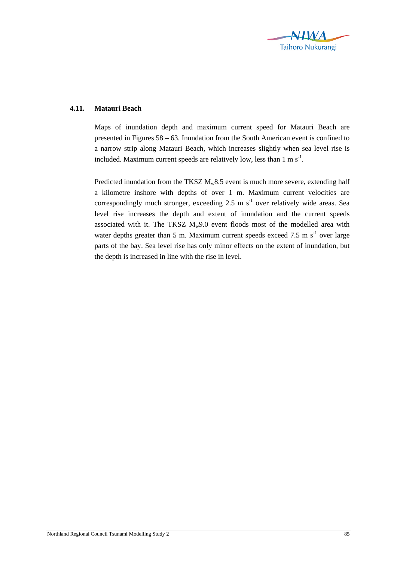

## **4.11. Matauri Beach**

Maps of inundation depth and maximum current speed for Matauri Beach are presented in Figures 58 – 63. Inundation from the South American event is confined to a narrow strip along Matauri Beach, which increases slightly when sea level rise is included. Maximum current speeds are relatively low, less than  $1 \text{ m s}^{-1}$ .

Predicted inundation from the TKSZ  $M_w 8.5$  event is much more severe, extending half a kilometre inshore with depths of over 1 m. Maximum current velocities are correspondingly much stronger, exceeding  $2.5 \text{ m s}^{-1}$  over relatively wide areas. Sea level rise increases the depth and extent of inundation and the current speeds associated with it. The TKSZ  $M_w9.0$  event floods most of the modelled area with water depths greater than 5 m. Maximum current speeds exceed 7.5 m  $s^{-1}$  over large parts of the bay. Sea level rise has only minor effects on the extent of inundation, but the depth is increased in line with the rise in level.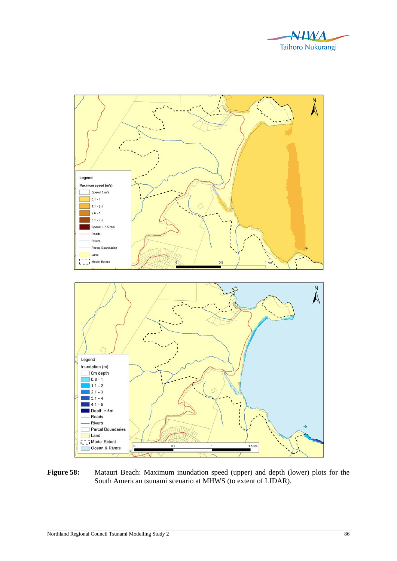



Figure 58: Matauri Beach: Maximum inundation speed (upper) and depth (lower) plots for the South American tsunami scenario at MHWS (to extent of LIDAR).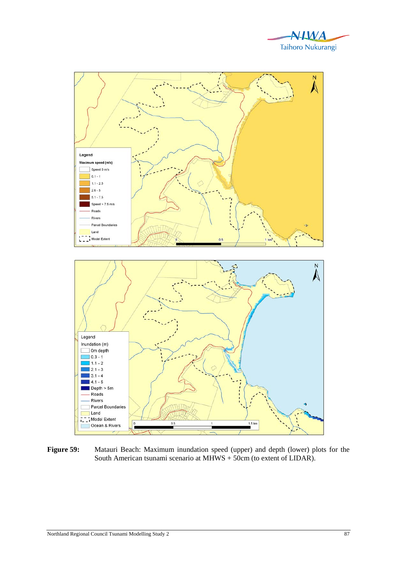



**Figure 59:** Matauri Beach: Maximum inundation speed (upper) and depth (lower) plots for the South American tsunami scenario at MHWS + 50cm (to extent of LIDAR).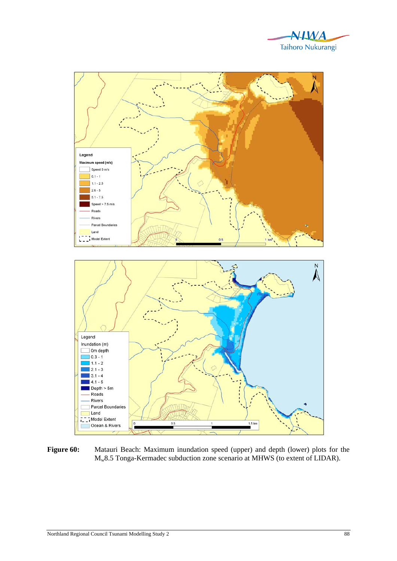



Figure 60: Matauri Beach: Maximum inundation speed (upper) and depth (lower) plots for the Mw8.5 Tonga-Kermadec subduction zone scenario at MHWS (to extent of LIDAR).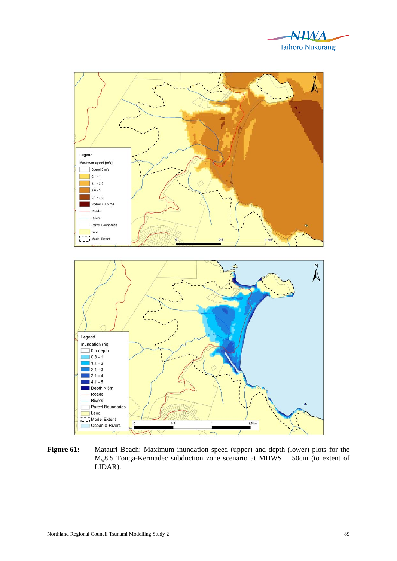



Figure 61: Matauri Beach: Maximum inundation speed (upper) and depth (lower) plots for the  $M_w8.5$  Tonga-Kermadec subduction zone scenario at MHWS + 50cm (to extent of LIDAR).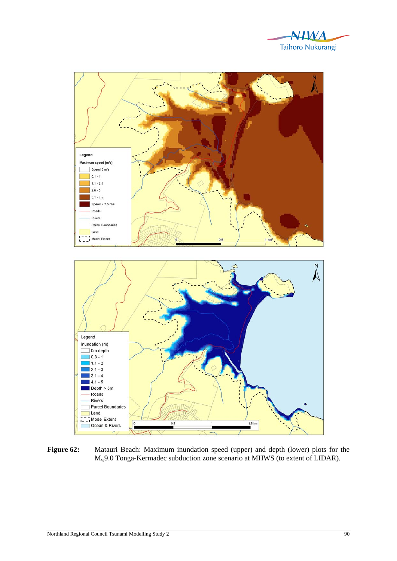



Figure 62: Matauri Beach: Maximum inundation speed (upper) and depth (lower) plots for the Mw9.0 Tonga-Kermadec subduction zone scenario at MHWS (to extent of LIDAR).